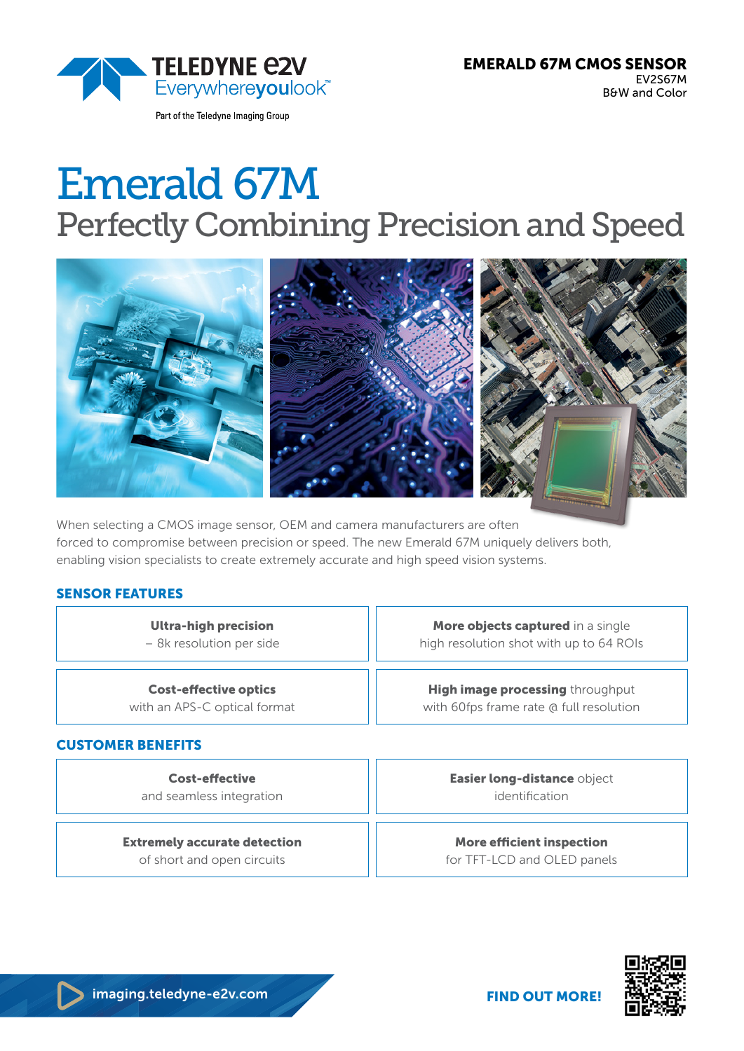

# Emerald 67M Perfectly Combining Precision and Speed



When selecting a CMOS image sensor, OEM and camera manufacturers are often forced to compromise between precision or speed. The new Emerald 67M uniquely delivers both, enabling vision specialists to create extremely accurate and high speed vision systems.

#### SENSOR FEATURES

Ultra-high precision – 8k resolution per side

Cost-effective optics with an APS-C optical format

#### CUSTOMER BENEFITS

Cost-effective and seamless integration

Extremely accurate detection of short and open circuits

imaging.teledyne-e2v.com

More objects captured in a single high resolution shot with up to 64 ROIs

**High image processing throughput** with 60fps frame rate @ full resolution

> Easier long-distance object identification

More efficient inspection for TFT-LCD and OLED panels

FIND OUT MORE!